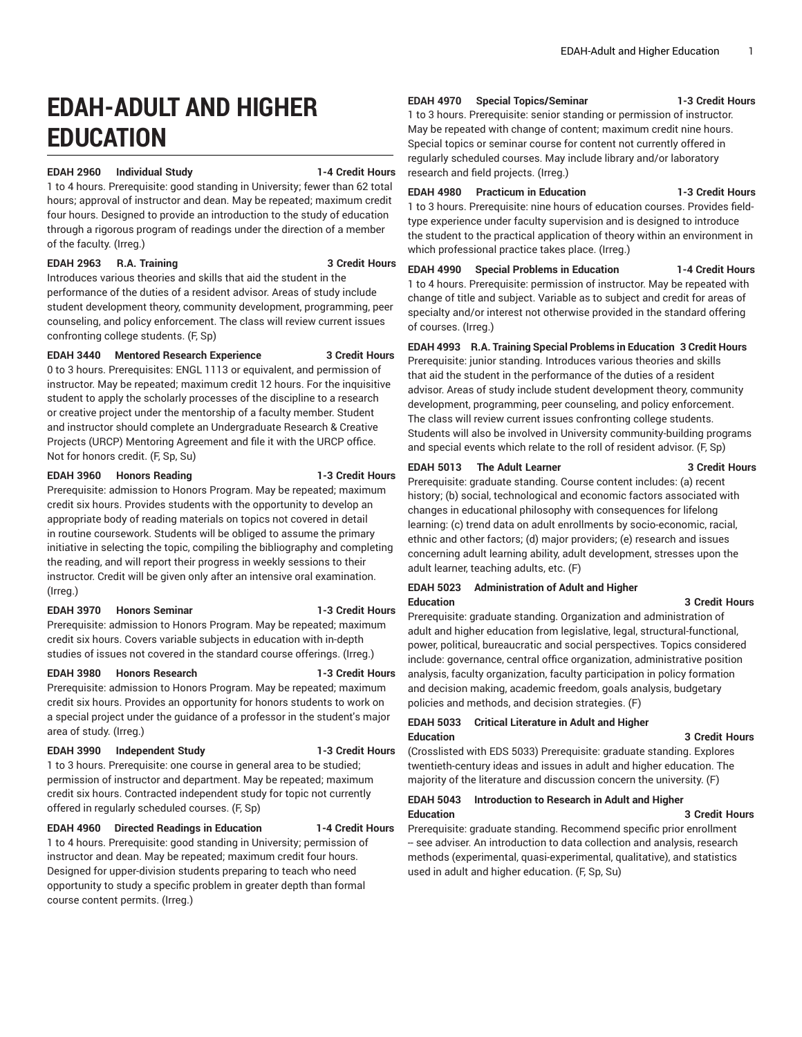# **EDAH-ADULT AND HIGHER EDUCATION**

#### **EDAH 2960 Individual Study 1-4 Credit Hours**

1 to 4 hours. Prerequisite: good standing in University; fewer than 62 total hours; approval of instructor and dean. May be repeated; maximum credit four hours. Designed to provide an introduction to the study of education through a rigorous program of readings under the direction of a member of the faculty. (Irreg.)

#### **EDAH 2963 R.A. Training 3 Credit Hours**

Introduces various theories and skills that aid the student in the performance of the duties of a resident advisor. Areas of study include student development theory, community development, programming, peer counseling, and policy enforcement. The class will review current issues confronting college students. (F, Sp)

### **EDAH 3440 Mentored Research Experience 3 Credit Hours**

0 to 3 hours. Prerequisites: ENGL 1113 or equivalent, and permission of instructor. May be repeated; maximum credit 12 hours. For the inquisitive student to apply the scholarly processes of the discipline to a research or creative project under the mentorship of a faculty member. Student and instructor should complete an Undergraduate Research & Creative Projects (URCP) Mentoring Agreement and file it with the URCP office. Not for honors credit. (F, Sp, Su)

# **EDAH 3960 Honors Reading 1-3 Credit Hours**

Prerequisite: admission to Honors Program. May be repeated; maximum credit six hours. Provides students with the opportunity to develop an appropriate body of reading materials on topics not covered in detail in routine coursework. Students will be obliged to assume the primary initiative in selecting the topic, compiling the bibliography and completing the reading, and will report their progress in weekly sessions to their instructor. Credit will be given only after an intensive oral examination. (Irreg.)

#### **EDAH 3970 Honors Seminar 1-3 Credit Hours**

Prerequisite: admission to Honors Program. May be repeated; maximum credit six hours. Covers variable subjects in education with in-depth studies of issues not covered in the standard course offerings. (Irreg.)

#### **EDAH 3980 Honors Research 1-3 Credit Hours**

Prerequisite: admission to Honors Program. May be repeated; maximum credit six hours. Provides an opportunity for honors students to work on a special project under the guidance of a professor in the student's major area of study. (Irreg.)

#### **EDAH 3990 Independent Study 1-3 Credit Hours**

1 to 3 hours. Prerequisite: one course in general area to be studied; permission of instructor and department. May be repeated; maximum credit six hours. Contracted independent study for topic not currently offered in regularly scheduled courses. (F, Sp)

#### **EDAH 4960 Directed Readings in Education 1-4 Credit Hours**

1 to 4 hours. Prerequisite: good standing in University; permission of instructor and dean. May be repeated; maximum credit four hours. Designed for upper-division students preparing to teach who need opportunity to study a specific problem in greater depth than formal course content permits. (Irreg.)

**EDAH 4970 Special Topics/Seminar 1-3 Credit Hours**

1 to 3 hours. Prerequisite: senior standing or permission of instructor. May be repeated with change of content; maximum credit nine hours. Special topics or seminar course for content not currently offered in regularly scheduled courses. May include library and/or laboratory research and field projects. (Irreg.)

# **EDAH 4980 Practicum in Education 1-3 Credit Hours**

1 to 3 hours. Prerequisite: nine hours of education courses. Provides fieldtype experience under faculty supervision and is designed to introduce the student to the practical application of theory within an environment in which professional practice takes place. (Irreg.)

**EDAH 4990 Special Problems in Education 1-4 Credit Hours** 1 to 4 hours. Prerequisite: permission of instructor. May be repeated with change of title and subject. Variable as to subject and credit for areas of specialty and/or interest not otherwise provided in the standard offering of courses. (Irreg.)

# **EDAH 4993 R.A. Training Special Problems in Education 3 Credit Hours**

Prerequisite: junior standing. Introduces various theories and skills that aid the student in the performance of the duties of a resident advisor. Areas of study include student development theory, community development, programming, peer counseling, and policy enforcement. The class will review current issues confronting college students. Students will also be involved in University community-building programs and special events which relate to the roll of resident advisor. (F, Sp)

### **EDAH 5013 The Adult Learner 3 Credit Hours**

Prerequisite: graduate standing. Course content includes: (a) recent history; (b) social, technological and economic factors associated with changes in educational philosophy with consequences for lifelong learning: (c) trend data on adult enrollments by socio-economic, racial, ethnic and other factors; (d) major providers; (e) research and issues concerning adult learning ability, adult development, stresses upon the adult learner, teaching adults, etc. (F)

# **EDAH 5023 Administration of Adult and Higher Education 3 Credit Hours**

Prerequisite: graduate standing. Organization and administration of adult and higher education from legislative, legal, structural-functional, power, political, bureaucratic and social perspectives. Topics considered include: governance, central office organization, administrative position analysis, faculty organization, faculty participation in policy formation and decision making, academic freedom, goals analysis, budgetary policies and methods, and decision strategies. (F)

# **EDAH 5033 Critical Literature in Adult and Higher Education 3 Credit Hours**

(Crosslisted with EDS 5033) Prerequisite: graduate standing. Explores twentieth-century ideas and issues in adult and higher education. The majority of the literature and discussion concern the university. (F)

# **EDAH 5043 Introduction to Research in Adult and Higher Education 3 Credit Hours**

Prerequisite: graduate standing. Recommend specific prior enrollment - see adviser. An introduction to data collection and analysis, research methods (experimental, quasi-experimental, qualitative), and statistics used in adult and higher education. (F, Sp, Su)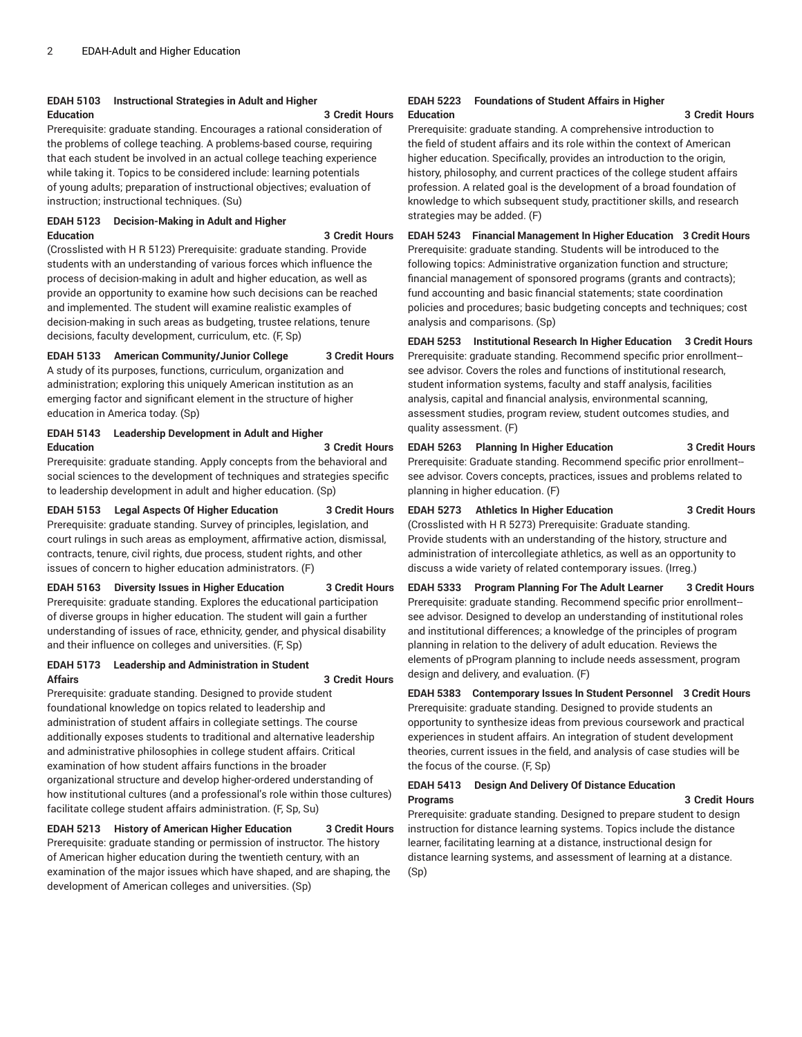# **EDAH 5103 Instructional Strategies in Adult and Higher Education 3 Credit Hours**

Prerequisite: graduate standing. Encourages a rational consideration of the problems of college teaching. A problems-based course, requiring that each student be involved in an actual college teaching experience while taking it. Topics to be considered include: learning potentials of young adults; preparation of instructional objectives; evaluation of instruction; instructional techniques. (Su)

# **EDAH 5123 Decision-Making in Adult and Higher Education 3 Credit Hours**

(Crosslisted with H R 5123) Prerequisite: graduate standing. Provide students with an understanding of various forces which influence the process of decision-making in adult and higher education, as well as provide an opportunity to examine how such decisions can be reached and implemented. The student will examine realistic examples of decision-making in such areas as budgeting, trustee relations, tenure decisions, faculty development, curriculum, etc. (F, Sp)

# **EDAH 5133 American Community/Junior College 3 Credit Hours**

A study of its purposes, functions, curriculum, organization and administration; exploring this uniquely American institution as an emerging factor and significant element in the structure of higher education in America today. (Sp)

# **EDAH 5143 Leadership Development in Adult and Higher Education 3 Credit Hours**

Prerequisite: graduate standing. Apply concepts from the behavioral and social sciences to the development of techniques and strategies specific to leadership development in adult and higher education. (Sp)

**EDAH 5153 Legal Aspects Of Higher Education 3 Credit Hours** Prerequisite: graduate standing. Survey of principles, legislation, and

court rulings in such areas as employment, affirmative action, dismissal, contracts, tenure, civil rights, due process, student rights, and other issues of concern to higher education administrators. (F)

### **EDAH 5163 Diversity Issues in Higher Education 3 Credit Hours**

Prerequisite: graduate standing. Explores the educational participation of diverse groups in higher education. The student will gain a further understanding of issues of race, ethnicity, gender, and physical disability and their influence on colleges and universities. (F, Sp)

#### **EDAH 5173 Leadership and Administration in Student Affairs 3 Credit Hours**

Prerequisite: graduate standing. Designed to provide student foundational knowledge on topics related to leadership and administration of student affairs in collegiate settings. The course additionally exposes students to traditional and alternative leadership and administrative philosophies in college student affairs. Critical examination of how student affairs functions in the broader organizational structure and develop higher-ordered understanding of how institutional cultures (and a professional's role within those cultures) facilitate college student affairs administration. (F, Sp, Su)

# **EDAH 5213 History of American Higher Education 3 Credit Hours**

Prerequisite: graduate standing or permission of instructor. The history of American higher education during the twentieth century, with an examination of the major issues which have shaped, and are shaping, the development of American colleges and universities. (Sp)

#### **EDAH 5223 Foundations of Student Affairs in Higher Education 3 Credit Hours**

Prerequisite: graduate standing. A comprehensive introduction to the field of student affairs and its role within the context of American higher education. Specifically, provides an introduction to the origin, history, philosophy, and current practices of the college student affairs profession. A related goal is the development of a broad foundation of knowledge to which subsequent study, practitioner skills, and research strategies may be added. (F)

**EDAH 5243 Financial Management In Higher Education 3 Credit Hours** Prerequisite: graduate standing. Students will be introduced to the following topics: Administrative organization function and structure; financial management of sponsored programs (grants and contracts); fund accounting and basic financial statements; state coordination policies and procedures; basic budgeting concepts and techniques; cost analysis and comparisons. (Sp)

**EDAH 5253 Institutional Research In Higher Education 3 Credit Hours** Prerequisite: graduate standing. Recommend specific prior enrollment- see advisor. Covers the roles and functions of institutional research, student information systems, faculty and staff analysis, facilities analysis, capital and financial analysis, environmental scanning, assessment studies, program review, student outcomes studies, and quality assessment. (F)

**EDAH 5263 Planning In Higher Education 3 Credit Hours** Prerequisite: Graduate standing. Recommend specific prior enrollment- see advisor. Covers concepts, practices, issues and problems related to planning in higher education. (F)

**EDAH 5273 Athletics In Higher Education 3 Credit Hours** (Crosslisted with H R 5273) Prerequisite: Graduate standing.

Provide students with an understanding of the history, structure and administration of intercollegiate athletics, as well as an opportunity to discuss a wide variety of related contemporary issues. (Irreg.)

**EDAH 5333 Program Planning For The Adult Learner 3 Credit Hours** Prerequisite: graduate standing. Recommend specific prior enrollment- see advisor. Designed to develop an understanding of institutional roles and institutional differences; a knowledge of the principles of program planning in relation to the delivery of adult education. Reviews the elements of pProgram planning to include needs assessment, program design and delivery, and evaluation. (F)

**EDAH 5383 Contemporary Issues In Student Personnel 3 Credit Hours** Prerequisite: graduate standing. Designed to provide students an opportunity to synthesize ideas from previous coursework and practical experiences in student affairs. An integration of student development theories, current issues in the field, and analysis of case studies will be the focus of the course. (F, Sp)

# **EDAH 5413 Design And Delivery Of Distance Education Programs 3 Credit Hours**

Prerequisite: graduate standing. Designed to prepare student to design instruction for distance learning systems. Topics include the distance learner, facilitating learning at a distance, instructional design for distance learning systems, and assessment of learning at a distance. (Sp)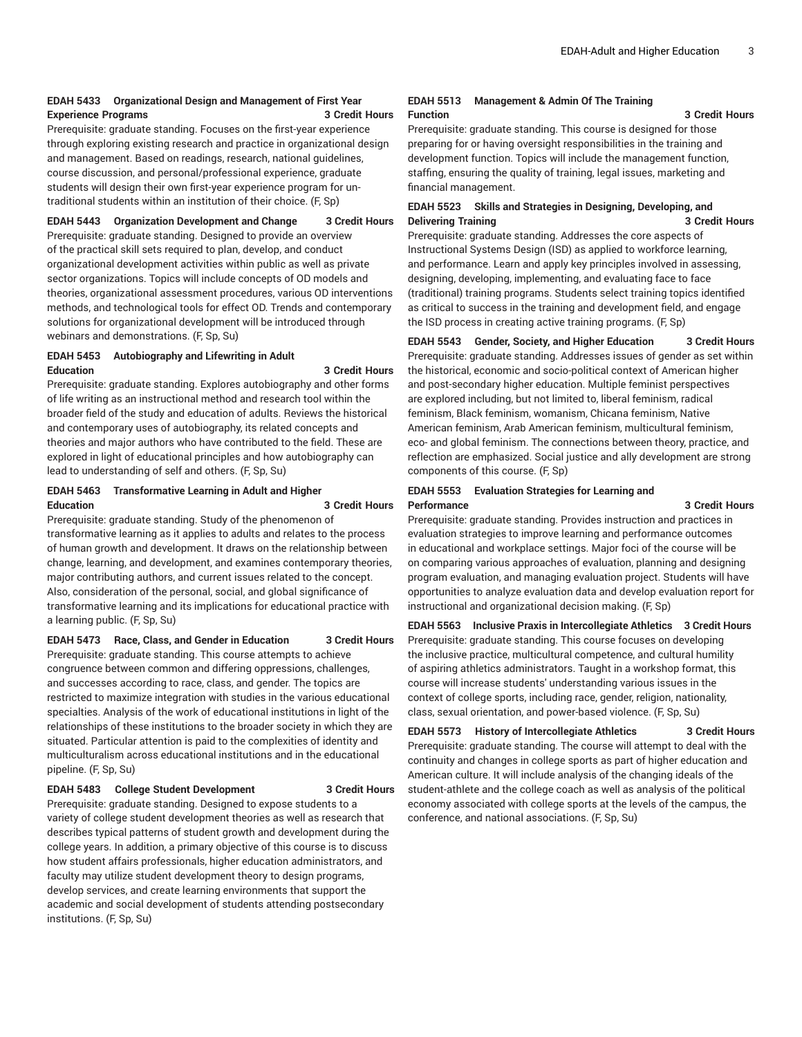# **EDAH 5433 Organizational Design and Management of First Year Experience Programs 3 Credit Hours**

Prerequisite: graduate standing. Focuses on the first-year experience through exploring existing research and practice in organizational design and management. Based on readings, research, national guidelines, course discussion, and personal/professional experience, graduate students will design their own first-year experience program for untraditional students within an institution of their choice. (F, Sp)

**EDAH 5443 Organization Development and Change 3 Credit Hours**

Prerequisite: graduate standing. Designed to provide an overview of the practical skill sets required to plan, develop, and conduct organizational development activities within public as well as private sector organizations. Topics will include concepts of OD models and theories, organizational assessment procedures, various OD interventions methods, and technological tools for effect OD. Trends and contemporary solutions for organizational development will be introduced through webinars and demonstrations. (F, Sp, Su)

#### **EDAH 5453 Autobiography and Lifewriting in Adult Education 3 Credit Hours**

Prerequisite: graduate standing. Explores autobiography and other forms of life writing as an instructional method and research tool within the broader field of the study and education of adults. Reviews the historical and contemporary uses of autobiography, its related concepts and theories and major authors who have contributed to the field. These are explored in light of educational principles and how autobiography can lead to understanding of self and others. (F, Sp, Su)

# **EDAH 5463 Transformative Learning in Adult and Higher Education 3 Credit Hours**

Prerequisite: graduate standing. Study of the phenomenon of transformative learning as it applies to adults and relates to the process of human growth and development. It draws on the relationship between change, learning, and development, and examines contemporary theories, major contributing authors, and current issues related to the concept. Also, consideration of the personal, social, and global significance of transformative learning and its implications for educational practice with a learning public. (F, Sp, Su)

### **EDAH 5473 Race, Class, and Gender in Education 3 Credit Hours**

Prerequisite: graduate standing. This course attempts to achieve congruence between common and differing oppressions, challenges, and successes according to race, class, and gender. The topics are restricted to maximize integration with studies in the various educational specialties. Analysis of the work of educational institutions in light of the relationships of these institutions to the broader society in which they are situated. Particular attention is paid to the complexities of identity and multiculturalism across educational institutions and in the educational pipeline. (F, Sp, Su)

#### **EDAH 5483 College Student Development 3 Credit Hours**

Prerequisite: graduate standing. Designed to expose students to a variety of college student development theories as well as research that describes typical patterns of student growth and development during the college years. In addition, a primary objective of this course is to discuss how student affairs professionals, higher education administrators, and faculty may utilize student development theory to design programs, develop services, and create learning environments that support the academic and social development of students attending postsecondary institutions. (F, Sp, Su)

#### **EDAH 5513 Management & Admin Of The Training Function 3 Credit Hours**

Prerequisite: graduate standing. This course is designed for those preparing for or having oversight responsibilities in the training and development function. Topics will include the management function, staffing, ensuring the quality of training, legal issues, marketing and financial management.

# **EDAH 5523 Skills and Strategies in Designing, Developing, and Delivering Training 3 Credit Hours**

Prerequisite: graduate standing. Addresses the core aspects of Instructional Systems Design (ISD) as applied to workforce learning, and performance. Learn and apply key principles involved in assessing, designing, developing, implementing, and evaluating face to face (traditional) training programs. Students select training topics identified as critical to success in the training and development field, and engage the ISD process in creating active training programs. (F, Sp)

# **EDAH 5543 Gender, Society, and Higher Education 3 Credit Hours**

Prerequisite: graduate standing. Addresses issues of gender as set within the historical, economic and socio-political context of American higher and post-secondary higher education. Multiple feminist perspectives are explored including, but not limited to, liberal feminism, radical feminism, Black feminism, womanism, Chicana feminism, Native American feminism, Arab American feminism, multicultural feminism, eco- and global feminism. The connections between theory, practice, and reflection are emphasized. Social justice and ally development are strong components of this course. (F, Sp)

### **EDAH 5553 Evaluation Strategies for Learning and Performance 3 Credit Hours**

Prerequisite: graduate standing. Provides instruction and practices in evaluation strategies to improve learning and performance outcomes in educational and workplace settings. Major foci of the course will be on comparing various approaches of evaluation, planning and designing program evaluation, and managing evaluation project. Students will have opportunities to analyze evaluation data and develop evaluation report for instructional and organizational decision making. (F, Sp)

**EDAH 5563 Inclusive Praxis in Intercollegiate Athletics 3 Credit Hours** Prerequisite: graduate standing. This course focuses on developing the inclusive practice, multicultural competence, and cultural humility of aspiring athletics administrators. Taught in a workshop format, this course will increase students' understanding various issues in the context of college sports, including race, gender, religion, nationality, class, sexual orientation, and power-based violence. (F, Sp, Su)

**EDAH 5573 History of Intercollegiate Athletics 3 Credit Hours** Prerequisite: graduate standing. The course will attempt to deal with the continuity and changes in college sports as part of higher education and American culture. It will include analysis of the changing ideals of the student-athlete and the college coach as well as analysis of the political economy associated with college sports at the levels of the campus, the conference, and national associations. (F, Sp, Su)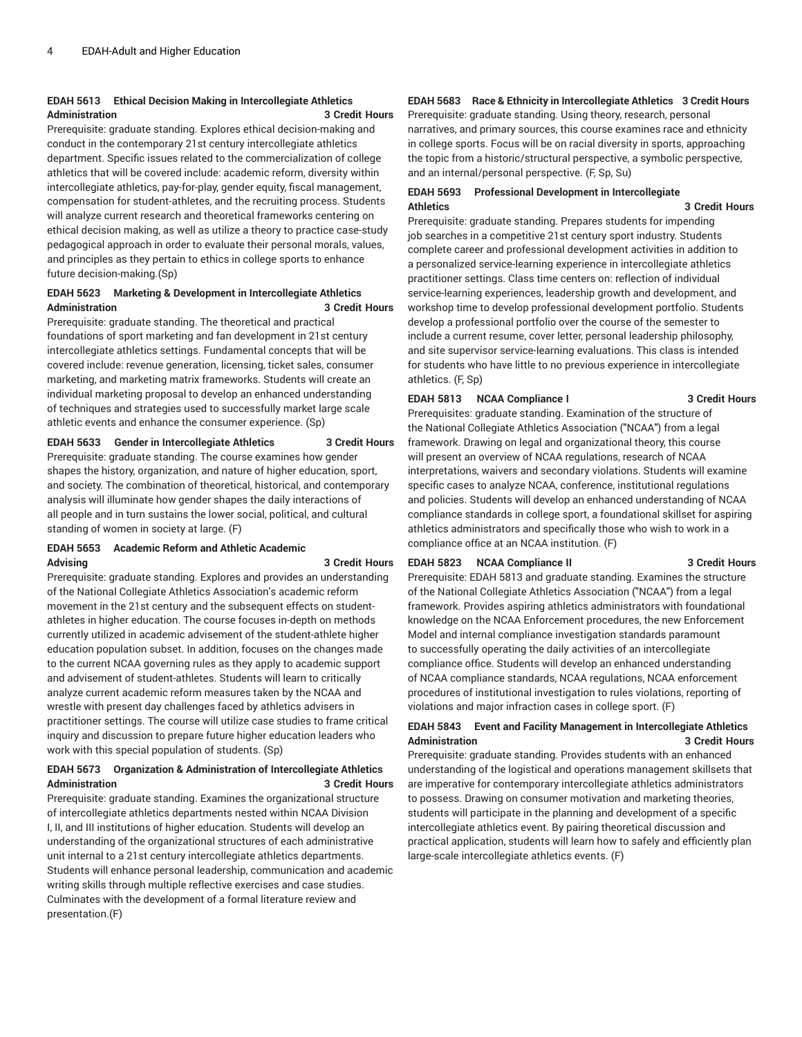# **EDAH 5613 Ethical Decision Making in Intercollegiate Athletics Administration 3 Credit Hours**

Prerequisite: graduate standing. Explores ethical decision-making and conduct in the contemporary 21st century intercollegiate athletics department. Specific issues related to the commercialization of college athletics that will be covered include: academic reform, diversity within intercollegiate athletics, pay-for-play, gender equity, fiscal management, compensation for student-athletes, and the recruiting process. Students will analyze current research and theoretical frameworks centering on ethical decision making, as well as utilize a theory to practice case-study pedagogical approach in order to evaluate their personal morals, values, and principles as they pertain to ethics in college sports to enhance future decision-making.(Sp)

### **EDAH 5623 Marketing & Development in Intercollegiate Athletics Administration 3 Credit Hours**

Prerequisite: graduate standing. The theoretical and practical foundations of sport marketing and fan development in 21st century intercollegiate athletics settings. Fundamental concepts that will be covered include: revenue generation, licensing, ticket sales, consumer marketing, and marketing matrix frameworks. Students will create an individual marketing proposal to develop an enhanced understanding of techniques and strategies used to successfully market large scale athletic events and enhance the consumer experience. (Sp)

#### **EDAH 5633 Gender in Intercollegiate Athletics 3 Credit Hours**

Prerequisite: graduate standing. The course examines how gender shapes the history, organization, and nature of higher education, sport, and society. The combination of theoretical, historical, and contemporary analysis will illuminate how gender shapes the daily interactions of all people and in turn sustains the lower social, political, and cultural standing of women in society at large. (F)

#### **EDAH 5653 Academic Reform and Athletic Academic Advising 3 Credit Hours**

Prerequisite: graduate standing. Explores and provides an understanding of the National Collegiate Athletics Association's academic reform movement in the 21st century and the subsequent effects on studentathletes in higher education. The course focuses in-depth on methods currently utilized in academic advisement of the student-athlete higher education population subset. In addition, focuses on the changes made to the current NCAA governing rules as they apply to academic support and advisement of student-athletes. Students will learn to critically analyze current academic reform measures taken by the NCAA and wrestle with present day challenges faced by athletics advisers in practitioner settings. The course will utilize case studies to frame critical inquiry and discussion to prepare future higher education leaders who work with this special population of students. (Sp)

# **EDAH 5673 Organization & Administration of Intercollegiate Athletics Administration 3 Credit Hours**

Prerequisite: graduate standing. Examines the organizational structure of intercollegiate athletics departments nested within NCAA Division I, II, and III institutions of higher education. Students will develop an understanding of the organizational structures of each administrative unit internal to a 21st century intercollegiate athletics departments. Students will enhance personal leadership, communication and academic writing skills through multiple reflective exercises and case studies. Culminates with the development of a formal literature review and presentation.(F)

# **EDAH 5683 Race & Ethnicity in Intercollegiate Athletics 3 Credit Hours**

Prerequisite: graduate standing. Using theory, research, personal narratives, and primary sources, this course examines race and ethnicity in college sports. Focus will be on racial diversity in sports, approaching the topic from a historic/structural perspective, a symbolic perspective, and an internal/personal perspective. (F, Sp, Su)

### **EDAH 5693 Professional Development in Intercollegiate Athletics 3 Credit Hours**

Prerequisite: graduate standing. Prepares students for impending job searches in a competitive 21st century sport industry. Students complete career and professional development activities in addition to a personalized service-learning experience in intercollegiate athletics practitioner settings. Class time centers on: reflection of individual service-learning experiences, leadership growth and development, and workshop time to develop professional development portfolio. Students develop a professional portfolio over the course of the semester to include a current resume, cover letter, personal leadership philosophy, and site supervisor service-learning evaluations. This class is intended for students who have little to no previous experience in intercollegiate athletics. (F, Sp)

#### **EDAH 5813 NCAA Compliance I 3 Credit Hours**

Prerequisites: graduate standing. Examination of the structure of the National Collegiate Athletics Association ("NCAA") from a legal framework. Drawing on legal and organizational theory, this course will present an overview of NCAA regulations, research of NCAA interpretations, waivers and secondary violations. Students will examine specific cases to analyze NCAA, conference, institutional regulations and policies. Students will develop an enhanced understanding of NCAA compliance standards in college sport, a foundational skillset for aspiring athletics administrators and specifically those who wish to work in a compliance office at an NCAA institution. (F)

### **EDAH 5823 NCAA Compliance II 3 Credit Hours**

Prerequisite: EDAH 5813 and graduate standing. Examines the structure of the National Collegiate Athletics Association ("NCAA") from a legal framework. Provides aspiring athletics administrators with foundational knowledge on the NCAA Enforcement procedures, the new Enforcement Model and internal compliance investigation standards paramount to successfully operating the daily activities of an intercollegiate compliance office. Students will develop an enhanced understanding of NCAA compliance standards, NCAA regulations, NCAA enforcement procedures of institutional investigation to rules violations, reporting of violations and major infraction cases in college sport. (F)

# **EDAH 5843 Event and Facility Management in Intercollegiate Athletics Administration 3 Credit Hours**

Prerequisite: graduate standing. Provides students with an enhanced understanding of the logistical and operations management skillsets that are imperative for contemporary intercollegiate athletics administrators to possess. Drawing on consumer motivation and marketing theories, students will participate in the planning and development of a specific intercollegiate athletics event. By pairing theoretical discussion and practical application, students will learn how to safely and efficiently plan large-scale intercollegiate athletics events. (F)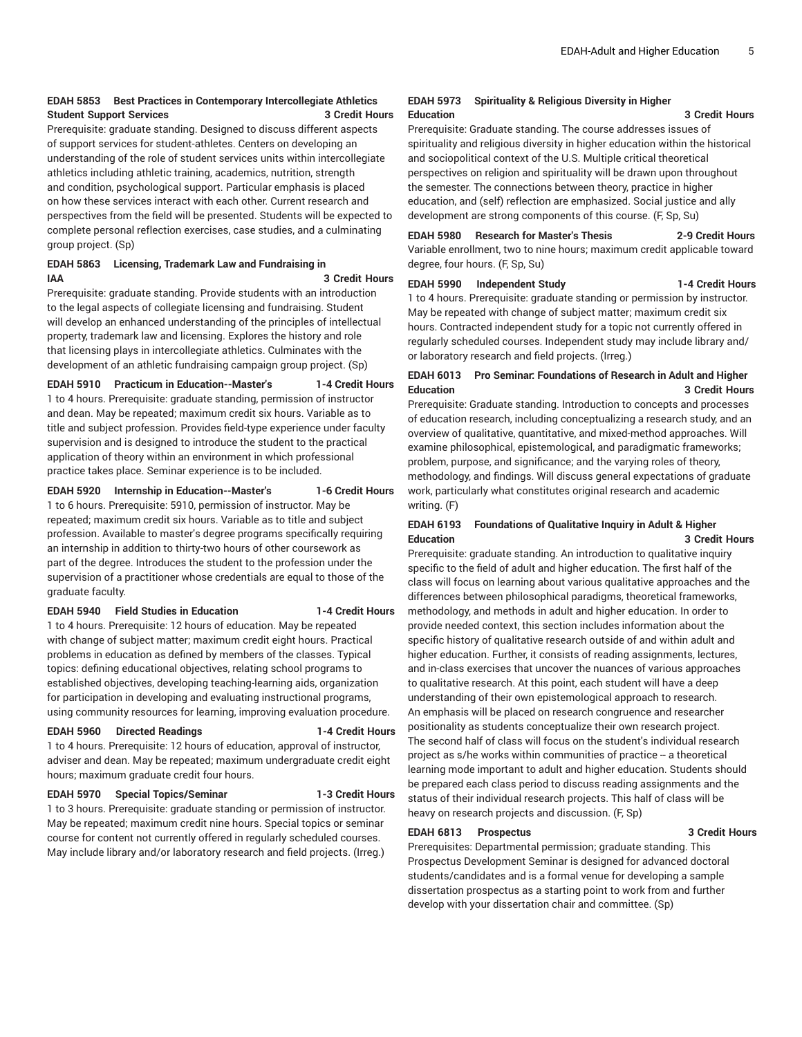### **EDAH 5853 Best Practices in Contemporary Intercollegiate Athletics Student Support Services 3 Credit Hours**

Prerequisite: graduate standing. Designed to discuss different aspects of support services for student-athletes. Centers on developing an understanding of the role of student services units within intercollegiate athletics including athletic training, academics, nutrition, strength and condition, psychological support. Particular emphasis is placed on how these services interact with each other. Current research and perspectives from the field will be presented. Students will be expected to complete personal reflection exercises, case studies, and a culminating group project. (Sp)

### **EDAH 5863 Licensing, Trademark Law and Fundraising in IAA 3 Credit Hours**

Prerequisite: graduate standing. Provide students with an introduction to the legal aspects of collegiate licensing and fundraising. Student will develop an enhanced understanding of the principles of intellectual property, trademark law and licensing. Explores the history and role that licensing plays in intercollegiate athletics. Culminates with the development of an athletic fundraising campaign group project. (Sp)

### **EDAH 5910 Practicum in Education--Master's 1-4 Credit Hours** 1 to 4 hours. Prerequisite: graduate standing, permission of instructor

and dean. May be repeated; maximum credit six hours. Variable as to title and subject profession. Provides field-type experience under faculty supervision and is designed to introduce the student to the practical application of theory within an environment in which professional practice takes place. Seminar experience is to be included.

### **EDAH 5920 Internship in Education--Master's 1-6 Credit Hours**

1 to 6 hours. Prerequisite: 5910, permission of instructor. May be repeated; maximum credit six hours. Variable as to title and subject profession. Available to master's degree programs specifically requiring an internship in addition to thirty-two hours of other coursework as part of the degree. Introduces the student to the profession under the supervision of a practitioner whose credentials are equal to those of the graduate faculty.

#### **EDAH 5940 Field Studies in Education 1-4 Credit Hours**

1 to 4 hours. Prerequisite: 12 hours of education. May be repeated with change of subject matter; maximum credit eight hours. Practical problems in education as defined by members of the classes. Typical topics: defining educational objectives, relating school programs to established objectives, developing teaching-learning aids, organization for participation in developing and evaluating instructional programs, using community resources for learning, improving evaluation procedure.

#### **EDAH 5960 Directed Readings 1-4 Credit Hours**

1 to 4 hours. Prerequisite: 12 hours of education, approval of instructor, adviser and dean. May be repeated; maximum undergraduate credit eight hours; maximum graduate credit four hours.

#### **EDAH 5970 Special Topics/Seminar 1-3 Credit Hours**

1 to 3 hours. Prerequisite: graduate standing or permission of instructor.

May be repeated; maximum credit nine hours. Special topics or seminar course for content not currently offered in regularly scheduled courses. May include library and/or laboratory research and field projects. (Irreg.)

#### **EDAH 5973 Spirituality & Religious Diversity in Higher Education 3 Credit Hours**

Prerequisite: Graduate standing. The course addresses issues of spirituality and religious diversity in higher education within the historical and sociopolitical context of the U.S. Multiple critical theoretical perspectives on religion and spirituality will be drawn upon throughout the semester. The connections between theory, practice in higher education, and (self) reflection are emphasized. Social justice and ally development are strong components of this course. (F, Sp, Su)

**EDAH 5980 Research for Master's Thesis 2-9 Credit Hours** Variable enrollment, two to nine hours; maximum credit applicable toward degree, four hours. (F, Sp, Su)

#### **EDAH 5990 Independent Study 1-4 Credit Hours**

1 to 4 hours. Prerequisite: graduate standing or permission by instructor. May be repeated with change of subject matter; maximum credit six hours. Contracted independent study for a topic not currently offered in regularly scheduled courses. Independent study may include library and/ or laboratory research and field projects. (Irreg.)

# **EDAH 6013 Pro Seminar: Foundations of Research in Adult and Higher Education 3 Credit Hours**

Prerequisite: Graduate standing. Introduction to concepts and processes of education research, including conceptualizing a research study, and an overview of qualitative, quantitative, and mixed-method approaches. Will examine philosophical, epistemological, and paradigmatic frameworks; problem, purpose, and significance; and the varying roles of theory, methodology, and findings. Will discuss general expectations of graduate work, particularly what constitutes original research and academic writing. (F)

# **EDAH 6193 Foundations of Qualitative Inquiry in Adult & Higher Education 3 Credit Hours**

Prerequisite: graduate standing. An introduction to qualitative inquiry specific to the field of adult and higher education. The first half of the class will focus on learning about various qualitative approaches and the differences between philosophical paradigms, theoretical frameworks, methodology, and methods in adult and higher education. In order to provide needed context, this section includes information about the specific history of qualitative research outside of and within adult and higher education. Further, it consists of reading assignments, lectures, and in-class exercises that uncover the nuances of various approaches to qualitative research. At this point, each student will have a deep understanding of their own epistemological approach to research. An emphasis will be placed on research congruence and researcher positionality as students conceptualize their own research project. The second half of class will focus on the student's individual research project as s/he works within communities of practice -- a theoretical learning mode important to adult and higher education. Students should be prepared each class period to discuss reading assignments and the status of their individual research projects. This half of class will be heavy on research projects and discussion. (F, Sp)

#### **EDAH 6813 Prospectus 3 Credit Hours**

Prerequisites: Departmental permission; graduate standing. This Prospectus Development Seminar is designed for advanced doctoral students/candidates and is a formal venue for developing a sample dissertation prospectus as a starting point to work from and further develop with your dissertation chair and committee. (Sp)